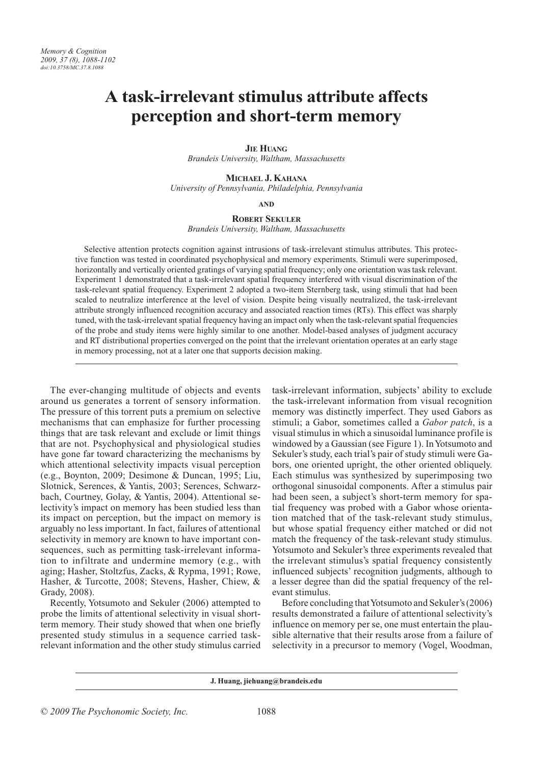# **A task-irrelevant stimulus attribute affects perception and short-term memory**

**Jie Huang**

*Brandeis University, Waltham, Massachusetts*

**Michael J. Kahana** *University of Pennsylvania, Philadelphia, Pennsylvania*

**and**

**Robert Sekuler** *Brandeis University, Waltham, Massachusetts*

Selective attention protects cognition against intrusions of task-irrelevant stimulus attributes. This protective function was tested in coordinated psychophysical and memory experiments. Stimuli were superimposed, horizontally and vertically oriented gratings of varying spatial frequency; only one orientation was task relevant. Experiment 1 demonstrated that a task-irrelevant spatial frequency interfered with visual discrimination of the task-relevant spatial frequency. Experiment 2 adopted a two-item Sternberg task, using stimuli that had been scaled to neutralize interference at the level of vision. Despite being visually neutralized, the task-irrelevant attribute strongly influenced recognition accuracy and associated reaction times (RTs). This effect was sharply tuned, with the task-irrelevant spatial frequency having an impact only when the task-relevant spatial frequencies of the probe and study items were highly similar to one another. Model-based analyses of judgment accuracy and RT distributional properties converged on the point that the irrelevant orientation operates at an early stage in memory processing, not at a later one that supports decision making.

The ever-changing multitude of objects and events around us generates a torrent of sensory information. The pressure of this torrent puts a premium on selective mechanisms that can emphasize for further processing things that are task relevant and exclude or limit things that are not. Psychophysical and physiological studies have gone far toward characterizing the mechanisms by which attentional selectivity impacts visual perception (e.g., Boynton, 2009; Desimone & Duncan, 1995; Liu, Slotnick, Serences, & Yantis, 2003; Serences, Schwarzbach, Courtney, Golay, & Yantis, 2004). Attentional selectivity's impact on memory has been studied less than its impact on perception, but the impact on memory is arguably no less important. In fact, failures of attentional selectivity in memory are known to have important consequences, such as permitting task-irrelevant information to infiltrate and undermine memory (e.g., with aging; Hasher, Stoltzfus, Zacks, & Rypma, 1991; Rowe, Hasher, & Turcotte, 2008; Stevens, Hasher, Chiew, & Grady, 2008).

Recently, Yotsumoto and Sekuler (2006) attempted to probe the limits of attentional selectivity in visual shortterm memory. Their study showed that when one briefly presented study stimulus in a sequence carried taskrelevant information and the other study stimulus carried task-irrelevant information, subjects' ability to exclude the task-irrelevant information from visual recognition memory was distinctly imperfect. They used Gabors as stimuli; a Gabor, sometimes called a *Gabor patch*, is a visual stimulus in which a sinusoidal luminance profile is windowed by a Gaussian (see Figure 1). In Yotsumoto and Sekuler's study, each trial's pair of study stimuli were Gabors, one oriented upright, the other oriented obliquely. Each stimulus was synthesized by superimposing two orthogonal sinusoidal components. After a stimulus pair had been seen, a subject's short-term memory for spatial frequency was probed with a Gabor whose orientation matched that of the task-relevant study stimulus, but whose spatial frequency either matched or did not match the frequency of the task-relevant study stimulus. Yotsumoto and Sekuler's three experiments revealed that the irrelevant stimulus's spatial frequency consistently influenced subjects' recognition judgments, although to a lesser degree than did the spatial frequency of the relevant stimulus.

Before concluding that Yotsumoto and Sekuler's(2006) results demonstrated a failure of attentional selectivity's influence on memory per se, one must entertain the plausible alternative that their results arose from a failure of selectivity in a precursor to memory (Vogel, Woodman,

**J. Huang, jiehuang@brandeis.edu**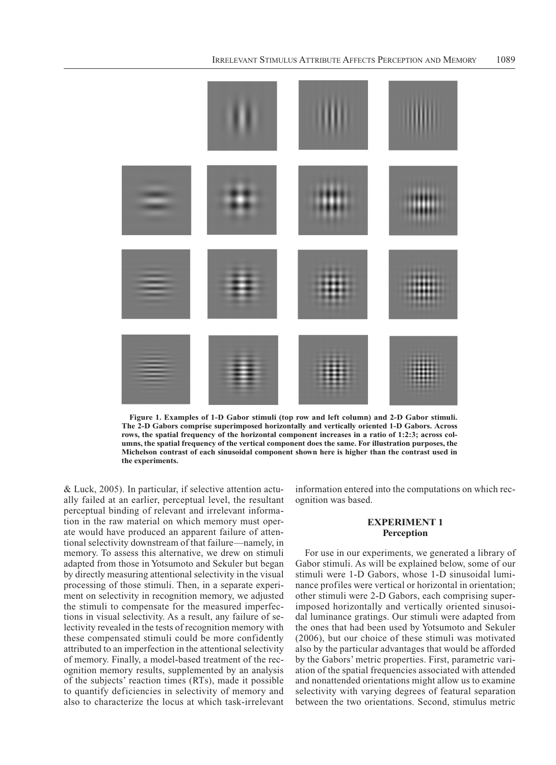

**Figure 1. Examples of 1-D Gabor stimuli (top row and left column) and 2-D Gabor stimuli. The 2-D Gabors comprise superimposed horizontally and vertically oriented 1-D Gabors. Across rows, the spatial frequency of the horizontal component increases in a ratio of 1:2:3; across columns, the spatial frequency of the vertical component does the same. For illustration purposes, the Michelson contrast of each sinusoidal component shown here is higher than the contrast used in the experiments.**

& Luck, 2005). In particular, if selective attention actually failed at an earlier, perceptual level, the resultant perceptual binding of relevant and irrelevant information in the raw material on which memory must operate would have produced an apparent failure of attentional selectivity downstream of that failure—namely, in memory. To assess this alternative, we drew on stimuli adapted from those in Yotsumoto and Sekuler but began by directly measuring attentional selectivity in the visual processing of those stimuli. Then, in a separate experiment on selectivity in recognition memory, we adjusted the stimuli to compensate for the measured imperfections in visual selectivity. As a result, any failure of selectivity revealed in the tests of recognition memory with these compensated stimuli could be more confidently attributed to an imperfection in the attentional selectivity of memory. Finally, a model-based treatment of the recognition memory results, supplemented by an analysis of the subjects' reaction times (RTs), made it possible to quantify deficiencies in selectivity of memory and also to characterize the locus at which task-irrelevant

information entered into the computations on which recognition was based.

# **Experiment 1 Perception**

For use in our experiments, we generated a library of Gabor stimuli. As will be explained below, some of our stimuli were 1-D Gabors, whose 1-D sinusoidal luminance profiles were vertical or horizontal in orientation; other stimuli were 2-D Gabors, each comprising superimposed horizontally and vertically oriented sinusoidal luminance gratings. Our stimuli were adapted from the ones that had been used by Yotsumoto and Sekuler (2006), but our choice of these stimuli was motivated also by the particular advantages that would be afforded by the Gabors' metric properties. First, parametric variation of the spatial frequencies associated with attended and nonattended orientations might allow us to examine selectivity with varying degrees of featural separation between the two orientations. Second, stimulus metric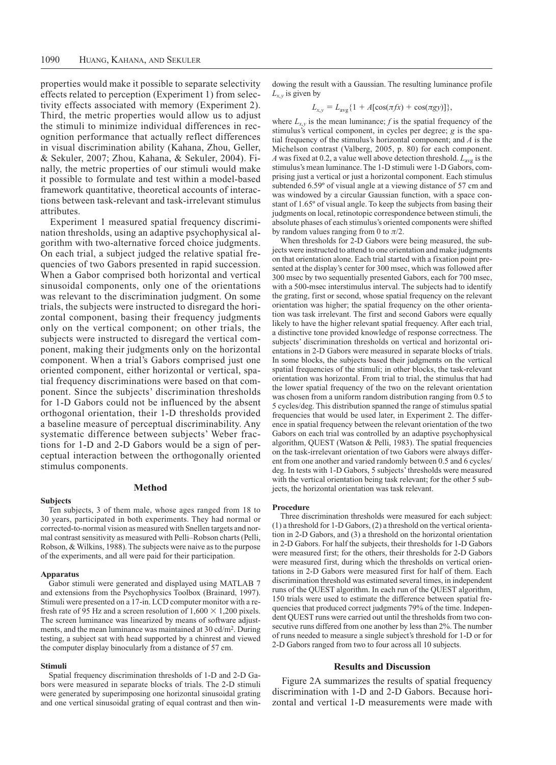properties would make it possible to separate selectivity effects related to perception (Experiment 1) from selectivity effects associated with memory (Experiment 2). Third, the metric properties would allow us to adjust the stimuli to minimize individual differences in recognition performance that actually reflect differences in visual discrimination ability (Kahana, Zhou, Geller, & Sekuler, 2007; Zhou, Kahana, & Sekuler, 2004). Finally, the metric properties of our stimuli would make it possible to formulate and test within a model-based framework quantitative, theoretical accounts of interactions between task-relevant and task-irrelevant stimulus attributes.

Experiment 1 measured spatial frequency discrimination thresholds, using an adaptive psychophysical algorithm with two-alternative forced choice judgments. On each trial, a subject judged the relative spatial frequencies of two Gabors presented in rapid succession. When a Gabor comprised both horizontal and vertical sinusoidal components, only one of the orientations was relevant to the discrimination judgment. On some trials, the subjects were instructed to disregard the horizontal component, basing their frequency judgments only on the vertical component; on other trials, the subjects were instructed to disregard the vertical component, making their judgments only on the horizontal component. When a trial's Gabors comprised just one oriented component, either horizontal or vertical, spatial frequency discriminations were based on that component. Since the subjects' discrimination thresholds for 1-D Gabors could not be influenced by the absent orthogonal orientation, their 1-D thresholds provided a baseline measure of perceptual discriminability. Any systematic difference between subjects' Weber fractions for 1-D and 2-D Gabors would be a sign of perceptual interaction between the orthogonally oriented stimulus components.

## **Method**

#### **Subjects**

Ten subjects, 3 of them male, whose ages ranged from 18 to 30 years, participated in both experiments. They had normal or corrected-to-normal vision as measured with Snellen targets and normal contrast sensitivity as measured with Pelli–Robson charts (Pelli, Robson, & Wilkins, 1988). The subjects were naive as to the purpose of the experiments, and all were paid for their participation.

#### **Apparatus**

Gabor stimuli were generated and displayed using MATLAB 7 and extensions from the Psychophysics Toolbox (Brainard, 1997). Stimuli were presented on a 17-in. LCD computer monitor with a refresh rate of 95 Hz and a screen resolution of  $1,600 \times 1,200$  pixels. The screen luminance was linearized by means of software adjustments, and the mean luminance was maintained at 30 cd/m2. During testing, a subject sat with head supported by a chinrest and viewed the computer display binocularly from a distance of 57 cm.

#### **Stimuli**

Spatial frequency discrimination thresholds of 1-D and 2-D Gabors were measured in separate blocks of trials. The 2-D stimuli were generated by superimposing one horizontal sinusoidal grating and one vertical sinusoidal grating of equal contrast and then windowing the result with a Gaussian. The resulting luminance profile  $L_{x,y}$  is given by

$$
L_{x,y} = L_{\text{avg}}\{1 + A[\cos(\pi fx) + \cos(\pi gy)]\},\
$$

where  $L_{x,y}$  is the mean luminance; *f* is the spatial frequency of the stimulus's vertical component, in cycles per degree; *g* is the spatial frequency of the stimulus's horizontal component; and *A* is the Michelson contrast (Valberg, 2005, p. 80) for each component. *A* was fixed at 0.2, a value well above detection threshold.  $L_{avg}$  is the stimulus's mean luminance. The 1-D stimuli were 1-D Gabors, comprising just a vertical or just a horizontal component. Each stimulus subtended 6.59º of visual angle at a viewing distance of 57 cm and was windowed by a circular Gaussian function, with a space constant of 1.65º of visual angle. To keep the subjects from basing their judgments on local, retinotopic correspondence between stimuli, the absolute phases of each stimulus's oriented components were shifted by random values ranging from 0 to  $\pi/2$ .

When thresholds for 2-D Gabors were being measured, the subjects were instructed to attend to one orientation and make judgments on that orientation alone. Each trial started with a fixation point presented at the display's center for 300 msec, which was followed after 300 msec by two sequentially presented Gabors, each for 700 msec, with a 500-msec interstimulus interval. The subjects had to identify the grating, first or second, whose spatial frequency on the relevant orientation was higher; the spatial frequency on the other orientation was task irrelevant. The first and second Gabors were equally likely to have the higher relevant spatial frequency. After each trial, a distinctive tone provided knowledge of response correctness. The subjects' discrimination thresholds on vertical and horizontal orientations in 2-D Gabors were measured in separate blocks of trials. In some blocks, the subjects based their judgments on the vertical spatial frequencies of the stimuli; in other blocks, the task-relevant orientation was horizontal. From trial to trial, the stimulus that had the lower spatial frequency of the two on the relevant orientation was chosen from a uniform random distribution ranging from 0.5 to 5 cycles/deg. This distribution spanned the range of stimulus spatial frequencies that would be used later, in Experiment 2. The difference in spatial frequency between the relevant orientation of the two Gabors on each trial was controlled by an adaptive psychophysical algorithm, QUEST (Watson & Pelli, 1983). The spatial frequencies on the task-irrelevant orientation of two Gabors were always different from one another and varied randomly between 0.5 and 6 cycles/ deg. In tests with 1-D Gabors, 5 subjects' thresholds were measured with the vertical orientation being task relevant; for the other 5 subjects, the horizontal orientation was task relevant.

#### **Procedure**

Three discrimination thresholds were measured for each subject: (1) a threshold for 1-D Gabors, (2) a threshold on the vertical orientation in 2-D Gabors, and (3) a threshold on the horizontal orientation in 2-D Gabors. For half the subjects, their thresholds for 1-D Gabors were measured first; for the others, their thresholds for 2-D Gabors were measured first, during which the thresholds on vertical orientations in 2-D Gabors were measured first for half of them. Each discrimination threshold was estimated several times, in independent runs of the QUEST algorithm. In each run of the QUEST algorithm, 150 trials were used to estimate the difference between spatial frequencies that produced correct judgments 79% of the time. Independent QUEST runs were carried out until the thresholds from two consecutive runs differed from one another by less than 2%. The number of runs needed to measure a single subject's threshold for 1-D or for 2-D Gabors ranged from two to four across all 10 subjects.

## **Results and Discussion**

Figure 2A summarizes the results of spatial frequency discrimination with 1-D and 2-D Gabors. Because horizontal and vertical 1-D measurements were made with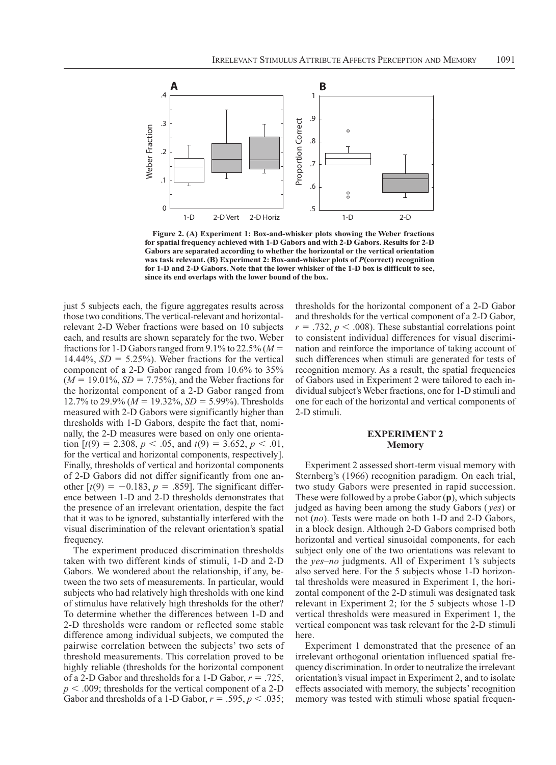

**Figure 2. (A) Experiment 1: Box-and-whisker plots showing the Weber fractions for spatial frequency achieved with 1-D Gabors and with 2-D Gabors. Results for 2-D Gabors are separated according to whether the horizontal or the vertical orientation was task relevant. (B) Experiment 2: Box-and-whisker plots of** *P***(correct) recognition for 1-D and 2-D Gabors. Note that the lower whisker of the 1-D box is difficult to see, since its end overlaps with the lower bound of the box.**

just 5 subjects each, the figure aggregates results across those two conditions. The vertical-relevant and horizontalrelevant 2-D Weber fractions were based on 10 subjects each, and results are shown separately for the two. Weber fractions for 1-D Gabors ranged from 9.1% to 22.5% ( $M =$ 14.44%,  $SD = 5.25\%$ ). Weber fractions for the vertical component of a 2-D Gabor ranged from 10.6% to 35%  $(M = 19.01\%, SD = 7.75\%)$ , and the Weber fractions for the horizontal component of a 2-D Gabor ranged from 12.7% to 29.9% ( $M = 19.32$ %,  $SD = 5.99$ %). Thresholds measured with 2-D Gabors were significantly higher than thresholds with 1-D Gabors, despite the fact that, nominally, the 2-D measures were based on only one orientation  $[t(9) = 2.308, p < .05, \text{ and } t(9) = 3.652, p < .01,$ for the vertical and horizontal components, respectively]. Finally, thresholds of vertical and horizontal components of 2-D Gabors did not differ significantly from one another  $[t(9) = -0.183, p = .859]$ . The significant difference between 1-D and 2-D thresholds demonstrates that the presence of an irrelevant orientation, despite the fact that it was to be ignored, substantially interfered with the visual discrimination of the relevant orientation's spatial frequency.

The experiment produced discrimination thresholds taken with two different kinds of stimuli, 1-D and 2-D Gabors. We wondered about the relationship, if any, between the two sets of measurements. In particular, would subjects who had relatively high thresholds with one kind of stimulus have relatively high thresholds for the other? To determine whether the differences between 1-D and 2-D thresholds were random or reflected some stable difference among individual subjects, we computed the pairwise correlation between the subjects' two sets of threshold measurements. This correlation proved to be highly reliable (thresholds for the horizontal component of a 2-D Gabor and thresholds for a 1-D Gabor,  $r = .725$ ,  $p < .009$ ; thresholds for the vertical component of a 2-D Gabor and thresholds of a 1-D Gabor,  $r = .595$ ,  $p < .035$ ;

thresholds for the horizontal component of a 2-D Gabor and thresholds for the vertical component of a 2-D Gabor,  $r = .732$ ,  $p < .008$ ). These substantial correlations point to consistent individual differences for visual discrimination and reinforce the importance of taking account of such differences when stimuli are generated for tests of recognition memory. As a result, the spatial frequencies of Gabors used in Experiment 2 were tailored to each individual subject's Weber fractions, one for 1-D stimuli and one for each of the horizontal and vertical components of 2-D stimuli.

# **Experiment 2 Memory**

Experiment 2 assessed short-term visual memory with Sternberg's (1966) recognition paradigm. On each trial, two study Gabors were presented in rapid succession. These were followed by a probe Gabor (**p**), which subjects judged as having been among the study Gabors ( *yes*) or not (*no*). Tests were made on both 1-D and 2-D Gabors, in a block design. Although 2-D Gabors comprised both horizontal and vertical sinusoidal components, for each subject only one of the two orientations was relevant to the *yes*–*no* judgments. All of Experiment 1's subjects also served here. For the 5 subjects whose 1-D horizontal thresholds were measured in Experiment 1, the horizontal component of the 2-D stimuli was designated task relevant in Experiment 2; for the 5 subjects whose 1-D vertical thresholds were measured in Experiment 1, the vertical component was task relevant for the 2-D stimuli here.

Experiment 1 demonstrated that the presence of an irrelevant orthogonal orientation influenced spatial frequency discrimination. In order to neutralize the irrelevant orientation's visual impact in Experiment 2, and to isolate effects associated with memory, the subjects' recognition memory was tested with stimuli whose spatial frequen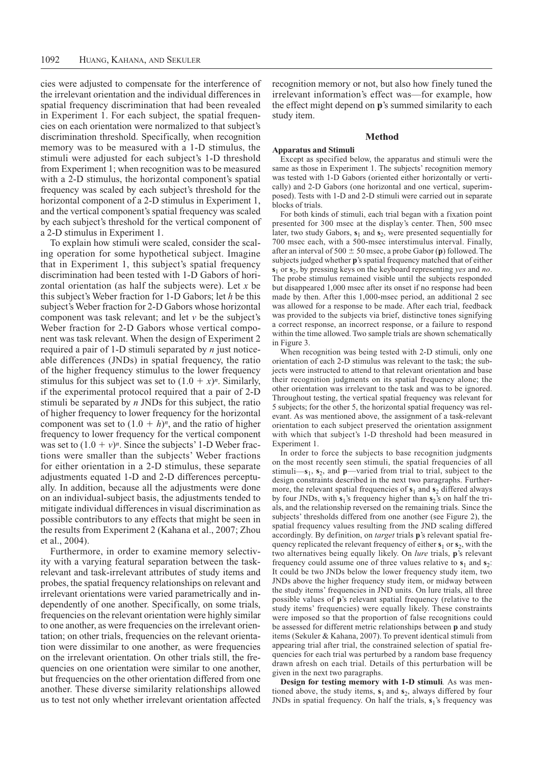cies were adjusted to compensate for the interference of the irrelevant orientation and the individual differences in spatial frequency discrimination that had been revealed in Experiment 1. For each subject, the spatial frequencies on each orientation were normalized to that subject's discrimination threshold. Specifically, when recognition memory was to be measured with a 1-D stimulus, the stimuli were adjusted for each subject's 1-D threshold from Experiment 1; when recognition was to be measured with a 2-D stimulus, the horizontal component's spatial frequency was scaled by each subject's threshold for the horizontal component of a 2-D stimulus in Experiment 1, and the vertical component's spatial frequency was scaled by each subject's threshold for the vertical component of a 2-D stimulus in Experiment 1.

To explain how stimuli were scaled, consider the scaling operation for some hypothetical subject. Imagine that in Experiment 1, this subject's spatial frequency discrimination had been tested with 1-D Gabors of horizontal orientation (as half the subjects were). Let *x* be this subject's Weber fraction for 1-D Gabors; let *h* be this subject's Weber fraction for 2-D Gabors whose horizontal component was task relevant; and let *v* be the subject's Weber fraction for 2-D Gabors whose vertical component was task relevant. When the design of Experiment 2 required a pair of 1-D stimuli separated by *n* just noticeable differences (JNDs) in spatial frequency, the ratio of the higher frequency stimulus to the lower frequency stimulus for this subject was set to  $(1.0 + x)<sup>n</sup>$ . Similarly, if the experimental protocol required that a pair of 2-D stimuli be separated by *n* JNDs for this subject, the ratio of higher frequency to lower frequency for the horizontal component was set to  $(1.0 + h)^n$ , and the ratio of higher frequency to lower frequency for the vertical component was set to  $(1.0 + v)^n$ . Since the subjects' 1-D Weber fractions were smaller than the subjects' Weber fractions for either orientation in a 2-D stimulus, these separate adjustments equated 1-D and 2-D differences perceptually. In addition, because all the adjustments were done on an individual-subject basis, the adjustments tended to mitigate individual differences in visual discrimination as possible contributors to any effects that might be seen in the results from Experiment 2 (Kahana et al., 2007; Zhou et al., 2004).

Furthermore, in order to examine memory selectivity with a varying featural separation between the taskrelevant and task-irrelevant attributes of study items and probes, the spatial frequency relationships on relevant and irrelevant orientations were varied parametrically and independently of one another. Specifically, on some trials, frequencies on the relevant orientation were highly similar to one another, as were frequencies on the irrelevant orientation; on other trials, frequencies on the relevant orientation were dissimilar to one another, as were frequencies on the irrelevant orientation. On other trials still, the frequencies on one orientation were similar to one another, but frequencies on the other orientation differed from one another. These diverse similarity relationships allowed us to test not only whether irrelevant orientation affected

recognition memory or not, but also how finely tuned the irrelevant information's effect was—for example, how the effect might depend on **p**'s summed similarity to each study item.

#### **Method**

## **Apparatus and Stimuli**

Except as specified below, the apparatus and stimuli were the same as those in Experiment 1. The subjects' recognition memory was tested with 1-D Gabors (oriented either horizontally or vertically) and 2-D Gabors (one horizontal and one vertical, superimposed). Tests with 1-D and 2-D stimuli were carried out in separate blocks of trials.

For both kinds of stimuli, each trial began with a fixation point presented for 300 msec at the display's center. Then, 500 msec later, two study Gabors,  $s_1$  and  $s_2$ , were presented sequentially for 700 msec each, with a 500-msec interstimulus interval. Finally, after an interval of 500  $\pm$  50 msec, a probe Gabor (**p**) followed. The subjects judged whether **p**'s spatial frequency matched that of either **s**<sup>1</sup> or **s**2, by pressing keys on the keyboard representing *yes* and *no*. The probe stimulus remained visible until the subjects responded but disappeared 1,000 msec after its onset if no response had been made by then. After this 1,000-msec period, an additional 2 sec was allowed for a response to be made. After each trial, feedback was provided to the subjects via brief, distinctive tones signifying a correct response, an incorrect response, or a failure to respond within the time allowed. Two sample trials are shown schematically in Figure 3.

When recognition was being tested with 2-D stimuli, only one orientation of each 2-D stimulus was relevant to the task; the subjects were instructed to attend to that relevant orientation and base their recognition judgments on its spatial frequency alone; the other orientation was irrelevant to the task and was to be ignored. Throughout testing, the vertical spatial frequency was relevant for 5 subjects; for the other 5, the horizontal spatial frequency was relevant. As was mentioned above, the assignment of a task-relevant orientation to each subject preserved the orientation assignment with which that subject's 1-D threshold had been measured in Experiment 1.

In order to force the subjects to base recognition judgments on the most recently seen stimuli, the spatial frequencies of all stimuli— $s_1$ ,  $s_2$ , and **p**—varied from trial to trial, subject to the design constraints described in the next two paragraphs. Furthermore, the relevant spatial frequencies of **s**<sup>1</sup> and **s**<sup>2</sup> differed always by four JNDs, with  $s_1$ 's frequency higher than  $s_2$ 's on half the trials, and the relationship reversed on the remaining trials. Since the subjects' thresholds differed from one another (see Figure 2), the spatial frequency values resulting from the JND scaling differed accordingly. By definition, on *target* trials **p**'s relevant spatial frequency replicated the relevant frequency of either  $s_1$  or  $s_2$ , with the two alternatives being equally likely. On *lure* trials, **p**'s relevant frequency could assume one of three values relative to  $s_1$  and  $s_2$ : It could be two JNDs below the lower frequency study item, two JNDs above the higher frequency study item, or midway between the study items' frequencies in JND units. On lure trials, all three possible values of **p**'s relevant spatial frequency (relative to the study items' frequencies) were equally likely. These constraints were imposed so that the proportion of false recognitions could be assessed for different metric relationships between **p** and study items (Sekuler & Kahana, 2007). To prevent identical stimuli from appearing trial after trial, the constrained selection of spatial frequencies for each trial was perturbed by a random base frequency drawn afresh on each trial. Details of this perturbation will be given in the next two paragraphs.

**Design for testing memory with 1-D stimuli***.* As was mentioned above, the study items,  $s_1$  and  $s_2$ , always differed by four JNDs in spatial frequency. On half the trials, **s**1's frequency was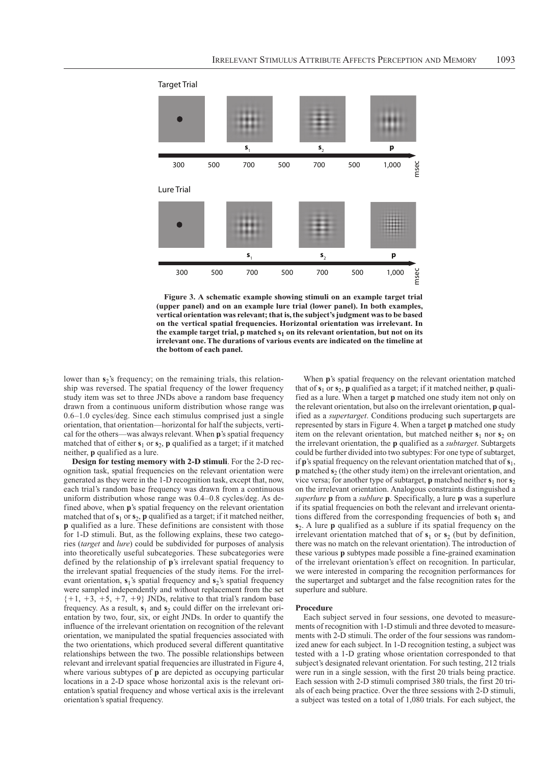

**Figure 3. A schematic example showing stimuli on an example target trial (upper panel) and on an example lure trial (lower panel). In both examples, vertical orientation was relevant; that is, the subject's judgment was to be based on the vertical spatial frequencies. Horizontal orientation was irrelevant. In**  the example target trial,  $p$  matched  $s<sub>1</sub>$  on its relevant orientation, but not on its **irrelevant one. The durations of various events are indicated on the timeline at the bottom of each panel.**

lower than  $s<sub>2</sub>$ 's frequency; on the remaining trials, this relationship was reversed. The spatial frequency of the lower frequency study item was set to three JNDs above a random base frequency drawn from a continuous uniform distribution whose range was 0.6–1.0 cycles/deg. Since each stimulus comprised just a single orientation, that orientation—horizontal for half the subjects, vertical for the others—was always relevant. When **p**'s spatial frequency matched that of either  $s_1$  or  $s_2$ , **p** qualified as a target; if it matched neither, **p** qualified as a lure.

**Design for testing memory with 2-D stimuli**. For the 2-D recognition task, spatial frequencies on the relevant orientation were generated as they were in the 1-D recognition task, except that, now, each trial's random base frequency was drawn from a continuous uniform distribution whose range was 0.4–0.8 cycles/deg. As defined above, when **p**'s spatial frequency on the relevant orientation matched that of  $s_1$  or  $s_2$ ,  $p$  qualified as a target; if it matched neither, **p** qualified as a lure. These definitions are consistent with those for 1-D stimuli. But, as the following explains, these two categories (*target* and *lure*) could be subdivided for purposes of analysis into theoretically useful subcategories. These subcategories were defined by the relationship of **p**'s irrelevant spatial frequency to the irrelevant spatial frequencies of the study items. For the irrelevant orientation, **s**1's spatial frequency and **s**2's spatial frequency were sampled independently and without replacement from the set  $\{+1, +3, +5, +7, +9\}$  JNDs, relative to that trial's random base frequency. As a result, **s**<sup>1</sup> and **s**<sup>2</sup> could differ on the irrelevant orientation by two, four, six, or eight JNDs. In order to quantify the influence of the irrelevant orientation on recognition of the relevant orientation, we manipulated the spatial frequencies associated with the two orientations, which produced several different quantitative relationships between the two. The possible relationships between relevant and irrelevant spatial frequencies are illustrated in Figure 4, where various subtypes of **p** are depicted as occupying particular locations in a 2-D space whose horizontal axis is the relevant orientation's spatial frequency and whose vertical axis is the irrelevant orientation's spatial frequency.

When **p**'s spatial frequency on the relevant orientation matched that of **s**<sup>1</sup> or **s**2, **p** qualified as a target; if it matched neither, **p** qualified as a lure. When a target **p** matched one study item not only on the relevant orientation, but also on the irrelevant orientation, **p** qualified as a *supertarget*. Conditions producing such supertargets are represented by stars in Figure 4. When a target **p** matched one study item on the relevant orientation, but matched neither  $s_1$  nor  $s_2$  on the irrelevant orientation, the **p** qualified as a *subtarget*. Subtargets could be further divided into two subtypes: For one type of subtarget, if **p**'s spatial frequency on the relevant orientation matched that of **s**1, **p** matched  $s_2$  (the other study item) on the irrelevant orientation, and vice versa; for another type of subtarget, **p** matched neither  $s_1$  nor  $s_2$ on the irrelevant orientation. Analogous constraints distinguished a *superlure* **p** from a *sublure* **p**. Specifically, a lure **p** was a superlure if its spatial frequencies on both the relevant and irrelevant orientations differed from the corresponding frequencies of both  $s_1$  and **s**2. A lure **p** qualified as a sublure if its spatial frequency on the irrelevant orientation matched that of  $s_1$  or  $s_2$  (but by definition, there was no match on the relevant orientation). The introduction of these various **p** subtypes made possible a fine-grained examination of the irrelevant orientation's effect on recognition. In particular, we were interested in comparing the recognition performances for the supertarget and subtarget and the false recognition rates for the superlure and sublure.

#### **Procedure**

Each subject served in four sessions, one devoted to measurements of recognition with 1-D stimuli and three devoted to measurements with 2-D stimuli. The order of the four sessions was randomized anew for each subject. In 1-D recognition testing, a subject was tested with a 1-D grating whose orientation corresponded to that subject's designated relevant orientation. For such testing, 212 trials were run in a single session, with the first 20 trials being practice. Each session with 2-D stimuli comprised 380 trials, the first 20 trials of each being practice. Over the three sessions with 2-D stimuli, a subject was tested on a total of 1,080 trials. For each subject, the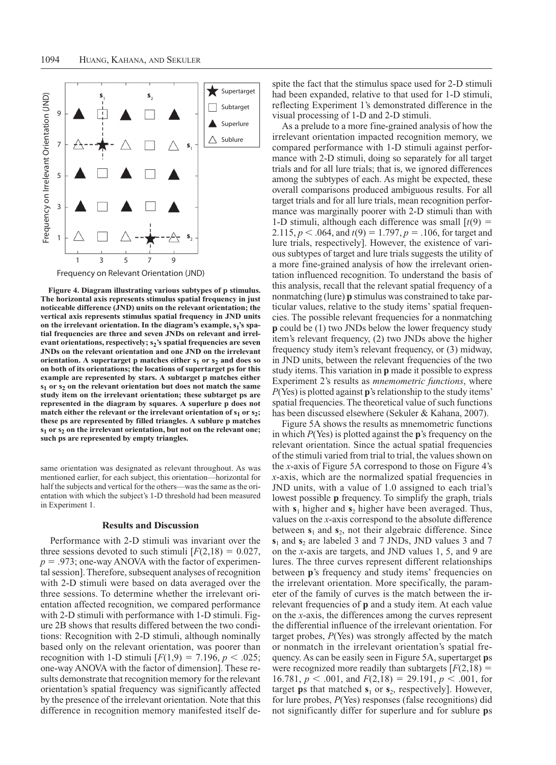

**Figure 4. Diagram illustrating various subtypes of p stimulus. The horizontal axis represents stimulus spatial frequency in just noticeable difference (JND) units on the relevant orientation; the vertical axis represents stimulus spatial frequency in JND units**  on the irrelevant orientation. In the diagram's example, s<sub>1</sub>'s spa**tial frequencies are three and seven JNDs on relevant and irrel**evant orientations, respectively; s<sub>2</sub>'s spatial frequencies are seven **JNDs on the relevant orientation and one JND on the irrelevant orientation.** A supertarget p matches either  $s_1$  or  $s_2$  and does so **on both of its orientations; the locations of supertarget ps for this example are represented by stars. A subtarget p matches either**   $s_1$  or  $s_2$  on the relevant orientation but does not match the same **study item on the irrelevant orientation; these subtarget ps are represented in the diagram by squares. A superlure p does not**  match either the relevant or the irrelevant orientation of  $s_1$  or  $s_2$ ; **these ps are represented by filled triangles. A sublure p matches**   $s_1$  or  $s_2$  on the irrelevant orientation, but not on the relevant one; **such ps are represented by empty triangles.**

same orientation was designated as relevant throughout. As was mentioned earlier, for each subject, this orientation—horizontal for half the subjects and vertical for the others—was the same as the orientation with which the subject's 1-D threshold had been measured in Experiment 1.

## **Results and Discussion**

Performance with 2-D stimuli was invariant over the three sessions devoted to such stimuli  $[F(2,18) = 0.027]$ ,  $p = .973$ ; one-way ANOVA with the factor of experimental session]. Therefore, subsequent analyses of recognition with 2-D stimuli were based on data averaged over the three sessions. To determine whether the irrelevant orientation affected recognition, we compared performance with 2-D stimuli with performance with 1-D stimuli. Figure 2B shows that results differed between the two conditions: Recognition with 2-D stimuli, although nominally based only on the relevant orientation, was poorer than recognition with 1-D stimuli  $[F(1,9) = 7.196, p < .025;$ one-way ANOVA with the factor of dimension]. These results demonstrate that recognition memory for the relevant orientation's spatial frequency was significantly affected by the presence of the irrelevant orientation. Note that this spite the fact that the stimulus space used for 2-D stimuli had been expanded, relative to that used for 1-D stimuli, reflecting Experiment 1's demonstrated difference in the visual processing of 1-D and 2-D stimuli.

As a prelude to a more fine-grained analysis of how the irrelevant orientation impacted recognition memory, we compared performance with 1-D stimuli against performance with 2-D stimuli, doing so separately for all target trials and for all lure trials; that is, we ignored differences among the subtypes of each. As might be expected, these overall comparisons produced ambiguous results. For all target trials and for all lure trials, mean recognition performance was marginally poorer with 2-D stimuli than with 1-D stimuli, although each difference was small  $[t(9) =$ 2.115,  $p < .064$ , and  $t(9) = 1.797$ ,  $p = .106$ , for target and lure trials, respectively]. However, the existence of various subtypes of target and lure trials suggests the utility of a more fine-grained analysis of how the irrelevant orientation influenced recognition. To understand the basis of this analysis, recall that the relevant spatial frequency of a nonmatching (lure) **p** stimulus was constrained to take particular values, relative to the study items' spatial frequencies. The possible relevant frequencies for a nonmatching **p** could be (1) two JNDs below the lower frequency study item's relevant frequency, (2) two JNDs above the higher frequency study item's relevant frequency, or (3) midway, in JND units, between the relevant frequencies of the two study items. This variation in **p** made it possible to express Experiment 2's results as *mnemometric functions*, where *P*(Yes) is plotted against **p**'s relationship to the study items' spatial frequencies. The theoretical value of such functions has been discussed elsewhere (Sekuler & Kahana, 2007).

Figure 5A shows the results as mnemometric functions in which *P*(Yes) is plotted against the **p**'s frequency on the relevant orientation. Since the actual spatial frequencies of the stimuli varied from trial to trial, the values shown on the *x*-axis of Figure 5A correspond to those on Figure 4's *x*-axis, which are the normalized spatial frequencies in JND units, with a value of 1.0 assigned to each trial's lowest possible **p** frequency. To simplify the graph, trials with  $s_1$  higher and  $s_2$  higher have been averaged. Thus, values on the *x*-axis correspond to the absolute difference between  $s_1$  and  $s_2$ , not their algebraic difference. Since **s**<sub>1</sub> and **s**<sub>2</sub> are labeled 3 and 7 JNDs, JND values 3 and 7 on the *x*-axis are targets, and JND values 1, 5, and 9 are lures. The three curves represent different relationships between **p**'s frequency and study items' frequencies on the irrelevant orientation. More specifically, the parameter of the family of curves is the match between the irrelevant frequencies of **p** and a study item. At each value on the *x*-axis, the differences among the curves represent the differential influence of the irrelevant orientation. For target probes, *P*(Yes) was strongly affected by the match or nonmatch in the irrelevant orientation's spatial frequency. As can be easily seen in Figure 5A, supertarget **p**s were recognized more readily than subtargets  $[F(2,18)] =$ 16.781,  $p < .001$ , and  $F(2,18) = 29.191$ ,  $p < .001$ , for target **p**s that matched  $s_1$  or  $s_2$ , respectively]. However, for lure probes, *P*(Yes) responses (false recognitions) did not significantly differ for superlure and for sublure **p**s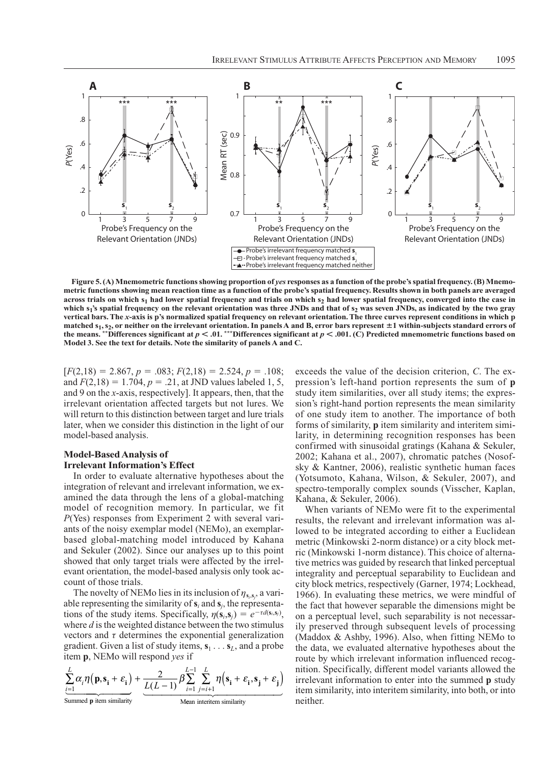

Figure 5. (A) Mnemometric functions showing proportion of *yes* responses as a function of the probe's spatial frequency. (B) Mnemo**metric functions showing mean reaction time as a function of the probe's spatial frequency. Results shown in both panels are averaged**  across trials on which s<sub>1</sub> had lower spatial frequency and trials on which s<sub>2</sub> had lower spatial frequency, converged into the case in which s<sub>1</sub>'s spatial frequency on the relevant orientation was three JNDs and that of s<sub>2</sub> was seven JNDs, as indicated by the two gray **vertical bars. The** *x***-axis is p's normalized spatial frequency on relevant orientation. The three curves represent conditions in which p**  matched  $s_1, s_2$ , or neither on the irrelevant orientation. In panels A and B, error bars represent  $\pm 1$  within-subjects standard errors of the means. \*\*Differences significant at  $p < .01$ . \*\*\*Differences significant at  $p < .001$ . (C) Predicted mnemometric functions based on **Model 3. See the text for details. Note the similarity of panels A and C.**

 $[F(2,18) = 2.867, p = .083; F(2,18) = 2.524, p = .108;$ and  $F(2,18) = 1.704$ ,  $p = .21$ , at JND values labeled 1, 5, and 9 on the *x*-axis, respectively]. It appears, then, that the irrelevant orientation affected targets but not lures. We will return to this distinction between target and lure trials later, when we consider this distinction in the light of our model-based analysis.

# **Model-Based Analysis of Irrelevant Information's Effect**

In order to evaluate alternative hypotheses about the integration of relevant and irrelevant information, we examined the data through the lens of a global-matching model of recognition memory. In particular, we fit *P*(Yes) responses from Experiment 2 with several variants of the noisy exemplar model (NEMo), an exemplarbased global-matching model introduced by Kahana and Sekuler (2002). Since our analyses up to this point showed that only target trials were affected by the irrelevant orientation, the model-based analysis only took account of those trials.

The novelty of NEMo lies in its inclusion of  $\eta_{s_i,s_j}$ , a variable representing the similarity of  $s_i$  and  $s_j$ , the representations of the study items. Specifically,  $\eta(s_i, s_j) = e^{-\tau d(s_i, s_j)}$ , where *d* is the weighted distance between the two stimulus vectors and  $\tau$  determines the exponential generalization gradient. Given a list of study items,  $s_1 \ldots s_L$ , and a probe item **p**, NEMo will respond *yes* if

$$
\underbrace{\sum_{i=1}^{L} \alpha_i \eta \big(\mathbf{p}, \mathbf{s_i} + \varepsilon_i\big)}_{\text{Summed } \mathbf{p} \text{ item similarity}} + \underbrace{\frac{2}{L(L-1)} \beta \sum_{i=1}^{L-1} \sum_{j=i+1}^{L} \eta \big(s_i + \varepsilon_i, \mathbf{s_j} + \varepsilon_j\big)}_{\text{Mean interference similarity}}
$$

exceeds the value of the decision criterion, *C*. The expression's left-hand portion represents the sum of **p**  study item similarities, over all study items; the expression's right-hand portion represents the mean similarity of one study item to another. The importance of both forms of similarity, **p** item similarity and interitem similarity, in determining recognition responses has been confirmed with sinusoidal gratings (Kahana & Sekuler, 2002; Kahana et al., 2007), chromatic patches (Nosofsky & Kantner, 2006), realistic synthetic human faces (Yotsumoto, Kahana, Wilson, & Sekuler, 2007), and spectro-temporally complex sounds (Visscher, Kaplan, Kahana, & Sekuler, 2006).

When variants of NEMo were fit to the experimental results, the relevant and irrelevant information was allowed to be integrated according to either a Euclidean metric (Minkowski 2-norm distance) or a city block metric (Minkowski 1-norm distance). This choice of alternative metrics was guided by research that linked perceptual integrality and perceptual separability to Euclidean and city block metrics, respectively (Garner, 1974; Lockhead, 1966). In evaluating these metrics, we were mindful of the fact that however separable the dimensions might be on a perceptual level, such separability is not necessarily preserved through subsequent levels of processing (Maddox & Ashby, 1996). Also, when fitting NEMo to the data, we evaluated alternative hypotheses about the route by which irrelevant information influenced recognition. Specifically, different model variants allowed the irrelevant information to enter into the summed **p** study item similarity, into interitem similarity, into both, or into neither.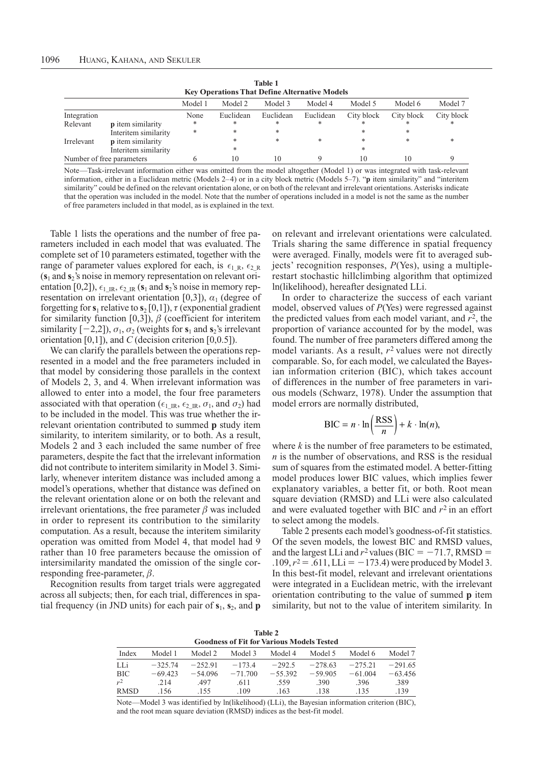|                                                      |                          |         |           | <b>Table 1</b> |           |            |            |            |  |  |  |  |
|------------------------------------------------------|--------------------------|---------|-----------|----------------|-----------|------------|------------|------------|--|--|--|--|
| <b>Key Operations That Define Alternative Models</b> |                          |         |           |                |           |            |            |            |  |  |  |  |
|                                                      |                          | Model 1 | Model 2   | Model 3        | Model 4   | Model 5    | Model 6    | Model 7    |  |  |  |  |
| Integration                                          |                          | None    | Euclidean | Euclidean      | Euclidean | City block | City block | City block |  |  |  |  |
| Relevant                                             | <b>p</b> item similarity | *       | *         | *              | *         | $\ast$     | ×          | $\ast$     |  |  |  |  |
|                                                      | Interitem similarity     | *       | *         | $\ast$         |           | *          | *          |            |  |  |  |  |
| Irrelevant                                           | <b>p</b> item similarity |         | *         | $\ast$         | *         | *          | $\ast$     | *          |  |  |  |  |
|                                                      | Interitem similarity     |         | *         |                |           | *          |            |            |  |  |  |  |
| Number of free parameters                            |                          |         | 10        | 10             |           | 10         | 10         |            |  |  |  |  |

Note—Task-irrelevant information either was omitted from the model altogether (Model 1) or was integrated with task-relevant information, either in a Euclidean metric (Models 2–4) or in a city block metric (Models 5–7). "**p** item similarity" and "interitem similarity" could be defined on the relevant orientation alone, or on both of the relevant and irrelevant orientations. Asterisks indicate that the operation was included in the model. Note that the number of operations included in a model is not the same as the number of free parameters included in that model, as is explained in the text.

Table 1 lists the operations and the number of free parameters included in each model that was evaluated. The complete set of 10 parameters estimated, together with the range of parameter values explored for each, is  $\epsilon_{1,R}$ ,  $\epsilon_{2,R}$ (**s**<sup>1</sup> and **s**2's noise in memory representation on relevant orientation [0,2]),  $\epsilon_{1\text{ IR}}, \epsilon_{2\text{ IR}}$  ( $\mathbf{s}_1$  and  $\mathbf{s}_2$ 's noise in memory representation on irrelevant orientation [0,3]),  $\alpha_1$  (degree of forgetting for  $s_1$  relative to  $s_2$  [0,1]),  $\tau$  (exponential gradient for similarity function [0,3]), *β* (coefficient for interitem similarity  $[-2,2]$ ),  $\sigma_1$ ,  $\sigma_2$  (weights for  $s_1$  and  $s_2$ 's irrelevant orientation [0,1]), and *C* (decision criterion [0,0.5]).

We can clarify the parallels between the operations represented in a model and the free parameters included in that model by considering those parallels in the context of Models 2, 3, and 4. When irrelevant information was allowed to enter into a model, the four free parameters associated with that operation ( $\epsilon_1$ <sub>IR</sub>,  $\epsilon_2$ <sub>IR</sub>,  $\sigma_1$ , and  $\sigma_2$ ) had to be included in the model. This was true whether the irrelevant orientation contributed to summed **p** study item similarity, to interitem similarity, or to both. As a result, Models 2 and 3 each included the same number of free parameters, despite the fact that the irrelevant information did not contribute to interitem similarity in Model 3. Similarly, whenever interitem distance was included among a model's operations, whether that distance was defined on the relevant orientation alone or on both the relevant and irrelevant orientations, the free parameter  $\beta$  was included in order to represent its contribution to the similarity computation. As a result, because the interitem similarity operation was omitted from Model 4, that model had 9 rather than 10 free parameters because the omission of intersimilarity mandated the omission of the single corresponding free-parameter, *β*.

Recognition results from target trials were aggregated across all subjects; then, for each trial, differences in spatial frequency (in JND units) for each pair of  $s_1$ ,  $s_2$ , and **p**  on relevant and irrelevant orientations were calculated. Trials sharing the same difference in spatial frequency were averaged. Finally, models were fit to averaged subjects' recognition responses, *P*(Yes), using a multiplerestart stochastic hillclimbing algorithm that optimized ln(likelihood), hereafter designated LLi.

In order to characterize the success of each variant model, observed values of *P*(Yes) were regressed against the predicted values from each model variant, and *r*2, the proportion of variance accounted for by the model, was found. The number of free parameters differed among the model variants. As a result,  $r^2$  values were not directly comparable. So, for each model, we calculated the Bayesian information criterion (BIC), which takes account of differences in the number of free parameters in various models (Schwarz, 1978). Under the assumption that model errors are normally distributed,

$$
\text{BIC} = n \cdot \ln\left(\frac{\text{RSS}}{n}\right) + k \cdot \ln(n),
$$

where  $k$  is the number of free parameters to be estimated, *n* is the number of observations, and RSS is the residual sum of squares from the estimated model. A better-fitting model produces lower BIC values, which implies fewer explanatory variables, a better fit, or both. Root mean square deviation (RMSD) and LLi were also calculated and were evaluated together with BIC and *r*<sup>2</sup> in an effort to select among the models.

Table 2 presents each model's goodness-of-fit statistics. Of the seven models, the lowest BIC and RMSD values, and the largest LLi and  $r^2$  values (BIC =  $-71.7$ , RMSD =  $.109, r<sup>2</sup> = .611, LLi = -173.4$ ) were produced by Model 3. In this best-fit model, relevant and irrelevant orientations were integrated in a Euclidean metric, with the irrelevant orientation contributing to the value of summed **p** item similarity, but not to the value of interitem similarity. In

**Table 2 Goodness of Fit for Various Models Tested** 

| OVOMINJO VI I IN IVI. TMI IVMO ITIVMNJO I NOVNA |           |           |           |           |           |           |           |  |  |  |  |
|-------------------------------------------------|-----------|-----------|-----------|-----------|-----------|-----------|-----------|--|--|--|--|
| Index                                           | Model 1   | Model 2   | Model 3   | Model 4   | Model 5   | Model 6   | Model 7   |  |  |  |  |
| LLi                                             | $-325.74$ | $-252.91$ | $-173.4$  | $-292.5$  | $-278.63$ | $-275.21$ | $-291.65$ |  |  |  |  |
| ВIС                                             | $-69.423$ | $-54.096$ | $-71.700$ | $-55.392$ | $-59.905$ | $-61.004$ | $-63.456$ |  |  |  |  |
| r <sup>2</sup>                                  | .214      | .497      | .611      | .559      | .390      | .396      | .389      |  |  |  |  |
| RMSD                                            | .156      | .155      | 109       | .163      | 138       | .135      | .139      |  |  |  |  |
|                                                 |           |           |           |           |           |           |           |  |  |  |  |

Note—Model 3 was identified by ln(likelihood) (LLi), the Bayesian information criterion (BIC), and the root mean square deviation (RMSD) indices as the best-fit model.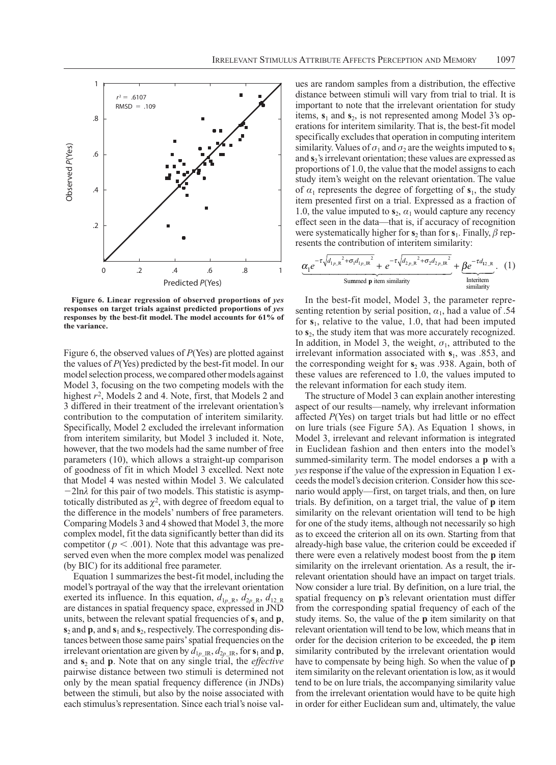

**Figure 6. Linear regression of observed proportions of** *yes* **responses on target trials against predicted proportions of** *yes* **responses by the best-fit model. The model accounts for 61% of the variance.**

Figure 6, the observed values of *P*(Yes) are plotted against the values of *P*(Yes) predicted by the best-fit model. In our model selection process, we compared other models against Model 3, focusing on the two competing models with the highest  $r^2$ , Models 2 and 4. Note, first, that Models 2 and 3 differed in their treatment of the irrelevant orientation's contribution to the computation of interitem similarity. Specifically, Model 2 excluded the irrelevant information from interitem similarity, but Model 3 included it. Note, however, that the two models had the same number of free parameters (10), which allows a straight-up comparison of goodness of fit in which Model 3 excelled. Next note that Model 4 was nested within Model 3. We calculated  $-2\ln\lambda$  for this pair of two models. This statistic is asymptotically distributed as  $\chi^2$ , with degree of freedom equal to the difference in the models' numbers of free parameters. Comparing Models 3 and 4 showed that Model 3, the more complex model, fit the data significantly better than did its competitor ( $p < .001$ ). Note that this advantage was preserved even when the more complex model was penalized (by BIC) for its additional free parameter.

Equation 1 summarizes the best-fit model, including the model's portrayal of the way that the irrelevant orientation exerted its influence. In this equation,  $d_{1p_R}$ ,  $d_{2p_R}$ ,  $d_{12_R}$ are distances in spatial frequency space, expressed in JND units, between the relevant spatial frequencies of  $s_1$  and  $p$ ,  $s_2$  and  $p$ , and  $s_1$  and  $s_2$ , respectively. The corresponding distances between those same pairs' spatial frequencies on the irrelevant orientation are given by  $d_{1p\_IR}$ ,  $d_{2p\_IR}$ , for  $\mathbf{s}_1$  and  $\mathbf{p}$ , and **s**<sup>2</sup> and **p**. Note that on any single trial, the *effective*  pairwise distance between two stimuli is determined not only by the mean spatial frequency difference (in JNDs) between the stimuli, but also by the noise associated with each stimulus's representation. Since each trial's noise val-

ues are random samples from a distribution, the effective distance between stimuli will vary from trial to trial. It is important to note that the irrelevant orientation for study items,  $s_1$  and  $s_2$ , is not represented among Model 3's operations for interitem similarity. That is, the best-fit model specifically excludes that operation in computing interitem similarity. Values of  $\sigma_1$  and  $\sigma_2$  are the weights imputed to  $s_1$ and  $s<sub>2</sub>$ 's irrelevant orientation; these values are expressed as proportions of 1.0, the value that the model assigns to each study item's weight on the relevant orientation. The value of  $\alpha_1$  represents the degree of forgetting of  $s_1$ , the study item presented first on a trial. Expressed as a fraction of 1.0, the value imputed to  $\mathbf{s}_2$ ,  $\alpha_1$  would capture any recency effect seen in the data—that is, if accuracy of recognition were systematically higher for  $s_2$  than for  $s_1$ . Finally,  $\beta$  represents the contribution of interitem similarity:

$$
\underbrace{\alpha_1 e^{-\tau \sqrt{d_{1_{P,R}}^2 + \sigma_1 d_{1_{P,R}}^2}} + e^{-\tau \sqrt{d_{2_{P,R}}^2 + \sigma_2 d_{2_{P,R}}^2}}}_{\text{Summed } p \text{ item similarity}} + \underbrace{\beta e^{-\tau d_{12_R}}}_{\text{interitem}}. (1)
$$

In the best-fit model, Model 3, the parameter representing retention by serial position,  $\alpha_1$ , had a value of .54 for  $s_1$ , relative to the value, 1.0, that had been imputed to **s**2, the study item that was more accurately recognized. In addition, in Model 3, the weight,  $\sigma_1$ , attributed to the irrelevant information associated with  $s_1$ , was .853, and the corresponding weight for **s**<sub>2</sub> was .938. Again, both of these values are referenced to 1.0, the values imputed to the relevant information for each study item.

The structure of Model 3 can explain another interesting aspect of our results—namely, why irrelevant information affected *P*(Yes) on target trials but had little or no effect on lure trials (see Figure 5A). As Equation 1 shows, in Model 3, irrelevant and relevant information is integrated in Euclidean fashion and then enters into the model's summed-similarity term. The model endorses a **p** with a *yes* response if the value of the expression in Equation 1 exceeds the model's decision criterion. Consider how this scenario would apply—first, on target trials, and then, on lure trials. By definition, on a target trial, the value of **p** item similarity on the relevant orientation will tend to be high for one of the study items, although not necessarily so high as to exceed the criterion all on its own. Starting from that already-high base value, the criterion could be exceeded if there were even a relatively modest boost from the **p** item similarity on the irrelevant orientation. As a result, the irrelevant orientation should have an impact on target trials. Now consider a lure trial. By definition, on a lure trial, the spatial frequency on **p**'s relevant orientation must differ from the corresponding spatial frequency of each of the study items. So, the value of the **p** item similarity on that relevant orientation will tend to be low, which means that in order for the decision criterion to be exceeded, the **p** item similarity contributed by the irrelevant orientation would have to compensate by being high. So when the value of **p** item similarity on the relevant orientation is low, as it would tend to be on lure trials, the accompanying similarity value from the irrelevant orientation would have to be quite high in order for either Euclidean sum and, ultimately, the value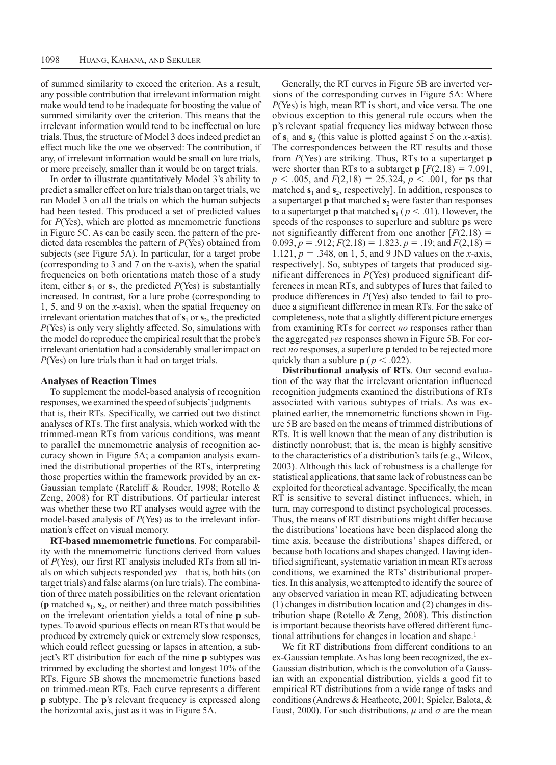of summed similarity to exceed the criterion. As a result, any possible contribution that irrelevant information might make would tend to be inadequate for boosting the value of summed similarity over the criterion. This means that the irrelevant information would tend to be ineffectual on lure trials. Thus, the structure of Model 3 does indeed predict an effect much like the one we observed: The contribution, if any, of irrelevant information would be small on lure trials, or more precisely, smaller than it would be on target trials.

In order to illustrate quantitatively Model 3's ability to predict a smaller effect on lure trials than on target trials, we ran Model 3 on all the trials on which the human subjects had been tested. This produced a set of predicted values for *P*(Yes), which are plotted as mnemometric functions in Figure 5C. As can be easily seen, the pattern of the predicted data resembles the pattern of *P*(Yes) obtained from subjects (see Figure 5A). In particular, for a target probe (corresponding to 3 and 7 on the *x*-axis), when the spatial frequencies on both orientations match those of a study item, either  $s_1$  or  $s_2$ , the predicted  $P(Yes)$  is substantially increased. In contrast, for a lure probe (corresponding to 1, 5, and 9 on the *x*-axis), when the spatial frequency on irrelevant orientation matches that of  $s_1$  or  $s_2$ , the predicted *P*(Yes) is only very slightly affected. So, simulations with the model do reproduce the empirical result that the probe's irrelevant orientation had a considerably smaller impact on *P*(Yes) on lure trials than it had on target trials.

## **Analyses of Reaction Times**

To supplement the model-based analysis of recognition responses, we examined the speed of subjects' judgments that is, their RTs. Specifically, we carried out two distinct analyses of RTs. The first analysis, which worked with the trimmed-mean RTs from various conditions, was meant to parallel the mnemometric analysis of recognition accuracy shown in Figure 5A; a companion analysis examined the distributional properties of the RTs, interpreting those properties within the framework provided by an ex-Gaussian template (Ratcliff & Rouder, 1998; Rotello & Zeng, 2008) for RT distributions. Of particular interest was whether these two RT analyses would agree with the model-based analysis of *P*(Yes) as to the irrelevant information's effect on visual memory.

**RT-based mnemometric functions**. For comparability with the mnemometric functions derived from values of *P*(Yes), our first RT analysis included RTs from all trials on which subjects responded *yes—*that is, both hits (on target trials) and false alarms (on lure trials). The combination of three match possibilities on the relevant orientation (**p** matched  $s_1$ ,  $s_2$ , or neither) and three match possibilities on the irrelevant orientation yields a total of nine **p** subtypes. To avoid spurious effects on mean RTs that would be produced by extremely quick or extremely slow responses, which could reflect guessing or lapses in attention, a subject's RT distribution for each of the nine **p** subtypes was trimmed by excluding the shortest and longest 10% of the RTs. Figure 5B shows the mnemometric functions based on trimmed-mean RTs. Each curve represents a different **p** subtype. The **p**'s relevant frequency is expressed along the horizontal axis, just as it was in Figure 5A.

Generally, the RT curves in Figure 5B are inverted versions of the corresponding curves in Figure 5A: Where *P*(Yes) is high, mean RT is short, and vice versa. The one obvious exception to this general rule occurs when the **p**'s relevant spatial frequency lies midway between those of  $s_1$  and  $s_2$  (this value is plotted against 5 on the *x*-axis). The correspondences between the RT results and those from *P*(Yes) are striking. Thus, RTs to a supertarget **p**  were shorter than RTs to a subtarget  $p$  [ $F(2,18) = 7.091$ ,  $p < .005$ , and  $F(2,18) = 25.324$ ,  $p < .001$ , for **p**s that matched  $s_1$  and  $s_2$ , respectively]. In addition, responses to a supertarget **p** that matched **s**<sup>2</sup> were faster than responses to a supertarget **p** that matched  $\mathbf{s}_1$  ( $p < .01$ ). However, the speeds of the responses to superlure and sublure **p**s were not significantly different from one another  $[F(2,18) =$  $0.093, p = .912; F(2,18) = 1.823, p = .19;$  and  $F(2,18) =$ 1.121,  $p = .348$ , on 1, 5, and 9 JND values on the *x*-axis, respectively]. So, subtypes of targets that produced significant differences in *P*(Yes) produced significant differences in mean RTs, and subtypes of lures that failed to produce differences in *P*(Yes) also tended to fail to produce a significant difference in mean RTs. For the sake of completeness, note that a slightly different picture emerges from examining RTs for correct *no* responses rather than the aggregated *yes* responses shown in Figure 5B. For correct *no* responses, a superlure **p** tended to be rejected more quickly than a sublure  $p$  ( $p < .022$ ).

**Distributional analysis of RTs**. Our second evaluation of the way that the irrelevant orientation influenced recognition judgments examined the distributions of RTs associated with various subtypes of trials. As was explained earlier, the mnemometric functions shown in Figure 5B are based on the means of trimmed distributions of RTs. It is well known that the mean of any distribution is distinctly nonrobust; that is, the mean is highly sensitive to the characteristics of a distribution's tails (e.g., Wilcox, 2003). Although this lack of robustness is a challenge for statistical applications, that same lack of robustness can be exploited for theoretical advantage. Specifically, the mean RT is sensitive to several distinct influences, which, in turn, may correspond to distinct psychological processes. Thus, the means of RT distributions might differ because the distributions' locations have been displaced along the time axis, because the distributions' shapes differed, or because both locations and shapes changed. Having identified significant, systematic variation in mean RTs across conditions, we examined the RTs' distributional properties. In this analysis, we attempted to identify the source of any observed variation in mean RT, adjudicating between (1) changes in distribution location and (2) changes in distribution shape (Rotello & Zeng, 2008). This distinction is important because theorists have offered different functional attributions for changes in location and shape.1

We fit RT distributions from different conditions to an ex-Gaussian template. As has long been recognized, the ex-Gaussian distribution, which is the convolution of a Gaussian with an exponential distribution, yields a good fit to empirical RT distributions from a wide range of tasks and conditions (Andrews & Heathcote, 2001; Spieler, Balota, & Faust, 2000). For such distributions,  $\mu$  and  $\sigma$  are the mean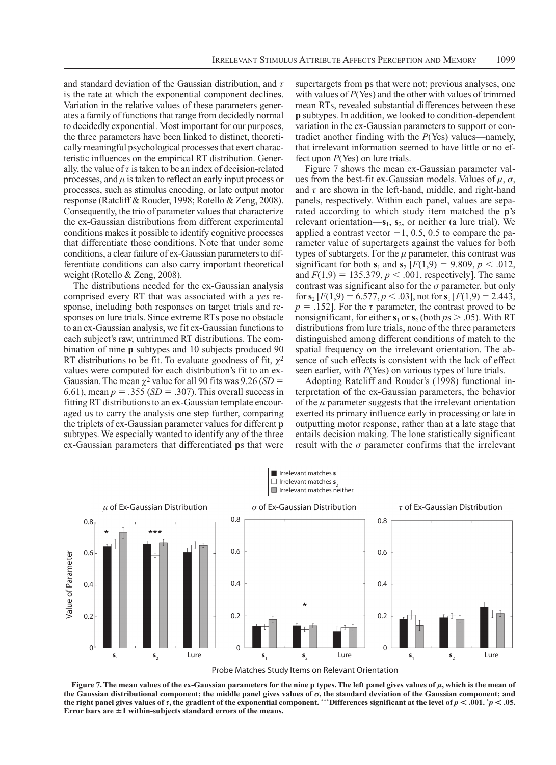and standard deviation of the Gaussian distribution, and *τ* is the rate at which the exponential component declines. Variation in the relative values of these parameters generates a family of functions that range from decidedly normal to decidedly exponential. Most important for our purposes, the three parameters have been linked to distinct, theoretically meaningful psychological processes that exert characteristic influences on the empirical RT distribution. Generally, the value of  $\tau$  is taken to be an index of decision-related processes, and  $\mu$  is taken to reflect an early input process or processes, such as stimulus encoding, or late output motor response (Ratcliff & Rouder, 1998; Rotello & Zeng, 2008). Consequently, the trio of parameter values that characterize the ex-Gaussian distributions from different experimental conditions makes it possible to identify cognitive processes that differentiate those conditions. Note that under some conditions, a clear failure of ex-Gaussian parameters to differentiate conditions can also carry important theoretical weight (Rotello & Zeng, 2008).

The distributions needed for the ex-Gaussian analysis comprised every RT that was associated with a *yes* response, including both responses on target trials and responses on lure trials. Since extreme RTs pose no obstacle to an ex-Gaussian analysis, we fit ex-Gaussian functions to each subject's raw, untrimmed RT distributions. The combination of nine **p** subtypes and 10 subjects produced 90 RT distributions to be fit. To evaluate goodness of fit,  $\chi^2$ values were computed for each distribution's fit to an ex-Gaussian. The mean  $\chi^2$  value for all 90 fits was 9.26 (*SD* = 6.61), mean  $p = .355$  (*SD* = .307). This overall success in fitting RT distributions to an ex-Gaussian template encouraged us to carry the analysis one step further, comparing the triplets of ex-Gaussian parameter values for different **p**  subtypes. We especially wanted to identify any of the three ex-Gaussian parameters that differentiated **p**s that were

supertargets from **p**s that were not; previous analyses, one with values of  $P(Yes)$  and the other with values of trimmed mean RTs, revealed substantial differences between these **p** subtypes. In addition, we looked to condition-dependent variation in the ex-Gaussian parameters to support or contradict another finding with the *P*(Yes) values—namely, that irrelevant information seemed to have little or no effect upon *P*(Yes) on lure trials.

Figure 7 shows the mean ex-Gaussian parameter values from the best-fit ex-Gaussian models. Values of  $\mu$ ,  $\sigma$ , and *τ* are shown in the left-hand, middle, and right-hand panels, respectively. Within each panel, values are separated according to which study item matched the **p**'s relevant orientation— $\mathbf{s}_1$ ,  $\mathbf{s}_2$ , or neither (a lure trial). We applied a contrast vector  $-1$ , 0.5, 0.5 to compare the parameter value of supertargets against the values for both types of subtargets. For the  $\mu$  parameter, this contrast was significant for both  $s_1$  and  $s_2$  [ $F(1,9) = 9.809$ ,  $p < .012$ , and  $F(1,9) = 135.379, p < .001$ , respectively]. The same contrast was significant also for the *σ* parameter, but only for  $s_2$  [ $F(1,9) = 6.577$ ,  $p < .03$ ], not for  $s_1$  [ $F(1,9) = 2.443$ ,  $p = .152$ . For the  $\tau$  parameter, the contrast proved to be nonsignificant, for either  $s_1$  or  $s_2$  (both  $ps > .05$ ). With RT distributions from lure trials, none of the three parameters distinguished among different conditions of match to the spatial frequency on the irrelevant orientation. The absence of such effects is consistent with the lack of effect seen earlier, with *P*(Yes) on various types of lure trials.

Adopting Ratcliff and Rouder's (1998) functional interpretation of the ex-Gaussian parameters, the behavior of the  $\mu$  parameter suggests that the irrelevant orientation exerted its primary influence early in processing or late in outputting motor response, rather than at a late stage that entails decision making. The lone statistically significant result with the  $\sigma$  parameter confirms that the irrelevant



**Figure 7. The mean values of the ex-Gaussian parameters for the nine p types. The left panel gives values of** *µ***, which is the mean of**  the Gaussian distributional component; the middle panel gives values of  $\sigma$ , the standard deviation of the Gaussian component; and **the right panel gives values of** *τ***, the gradient of the exponential component. \*\*\*Differences significant at the level of**  $p < .001$ **.**  $p < .05$ **.** Error bars are  $\pm 1$  within-subjects standard errors of the means.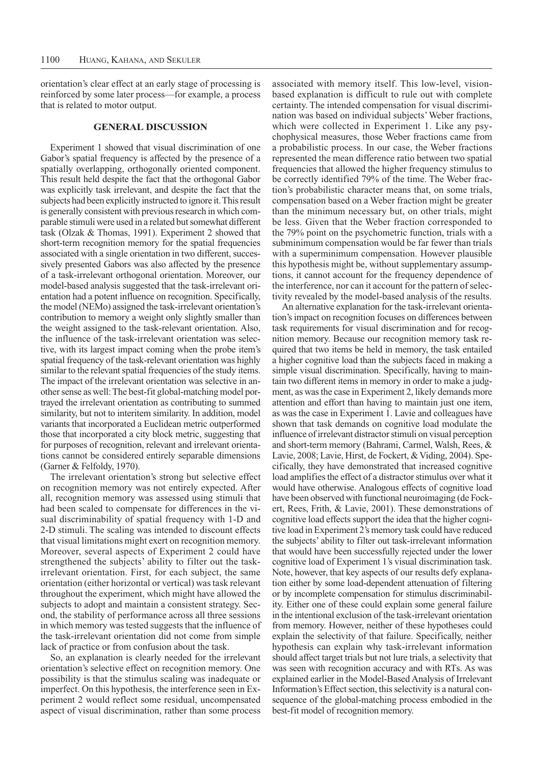orientation's clear effect at an early stage of processing is reinforced by some later process—for example, a process that is related to motor output.

# **General Discussion**

Experiment 1 showed that visual discrimination of one Gabor's spatial frequency is affected by the presence of a spatially overlapping, orthogonally oriented component. This result held despite the fact that the orthogonal Gabor was explicitly task irrelevant, and despite the fact that the subjects had been explicitly instructed to ignore it. This result is generally consistent with previous research in which comparable stimuli were used in a related but somewhat different task (Olzak & Thomas, 1991). Experiment 2 showed that short-term recognition memory for the spatial frequencies associated with a single orientation in two different, successively presented Gabors was also affected by the presence of a task-irrelevant orthogonal orientation. Moreover, our model-based analysis suggested that the task-irrelevant orientation had a potent influence on recognition. Specifically, the model (NEMo) assigned the task-irrelevant orientation's contribution to memory a weight only slightly smaller than the weight assigned to the task-relevant orientation. Also, the influence of the task-irrelevant orientation was selective, with its largest impact coming when the probe item's spatial frequency of the task-relevant orientation was highly similar to the relevant spatial frequencies of the study items. The impact of the irrelevant orientation was selective in another sense as well: The best-fit global-matching model portrayed the irrelevant orientation as contributing to summed similarity, but not to interitem similarity. In addition, model variants that incorporated a Euclidean metric outperformed those that incorporated a city block metric, suggesting that for purposes of recognition, relevant and irrelevant orientations cannot be considered entirely separable dimensions (Garner & Felfoldy, 1970).

The irrelevant orientation's strong but selective effect on recognition memory was not entirely expected. After all, recognition memory was assessed using stimuli that had been scaled to compensate for differences in the visual discriminability of spatial frequency with 1-D and 2-D stimuli. The scaling was intended to discount effects that visual limitations might exert on recognition memory. Moreover, several aspects of Experiment 2 could have strengthened the subjects' ability to filter out the taskirrelevant orientation. First, for each subject, the same orientation (either horizontal or vertical) was task relevant throughout the experiment, which might have allowed the subjects to adopt and maintain a consistent strategy. Second, the stability of performance across all three sessions in which memory was tested suggests that the influence of the task-irrelevant orientation did not come from simple lack of practice or from confusion about the task.

So, an explanation is clearly needed for the irrelevant orientation's selective effect on recognition memory. One possibility is that the stimulus scaling was inadequate or imperfect. On this hypothesis, the interference seen in Experiment 2 would reflect some residual, uncompensated aspect of visual discrimination, rather than some process associated with memory itself. This low-level, visionbased explanation is difficult to rule out with complete certainty. The intended compensation for visual discrimination was based on individual subjects' Weber fractions, which were collected in Experiment 1. Like any psychophysical measures, those Weber fractions came from a probabilistic process. In our case, the Weber fractions represented the mean difference ratio between two spatial frequencies that allowed the higher frequency stimulus to be correctly identified 79% of the time. The Weber fraction's probabilistic character means that, on some trials, compensation based on a Weber fraction might be greater than the minimum necessary but, on other trials, might be less. Given that the Weber fraction corresponded to the 79% point on the psychometric function, trials with a subminimum compensation would be far fewer than trials with a superminimum compensation. However plausible this hypothesis might be, without supplementary assumptions, it cannot account for the frequency dependence of the interference, nor can it account for the pattern of selectivity revealed by the model-based analysis of the results.

An alternative explanation for the task-irrelevant orientation's impact on recognition focuses on differences between task requirements for visual discrimination and for recognition memory. Because our recognition memory task required that two items be held in memory, the task entailed a higher cognitive load than the subjects faced in making a simple visual discrimination. Specifically, having to maintain two different items in memory in order to make a judgment, as was the case in Experiment 2, likely demands more attention and effort than having to maintain just one item, as was the case in Experiment 1. Lavie and colleagues have shown that task demands on cognitive load modulate the influence of irrelevant distractor stimuli on visual perception and short-term memory (Bahrami, Carmel, Walsh, Rees, & Lavie, 2008; Lavie, Hirst, de Fockert, & Viding, 2004). Specifically, they have demonstrated that increased cognitive load amplifies the effect of a distractor stimulus over what it would have otherwise. Analogous effects of cognitive load have been observed with functional neuroimaging (de Fockert, Rees, Frith, & Lavie, 2001). These demonstrations of cognitive load effects support the idea that the higher cognitive load in Experiment 2's memory task could have reduced the subjects' ability to filter out task-irrelevant information that would have been successfully rejected under the lower cognitive load of Experiment 1's visual discrimination task. Note, however, that key aspects of our results defy explanation either by some load-dependent attenuation of filtering or by incomplete compensation for stimulus discriminability. Either one of these could explain some general failure in the intentional exclusion of the task-irrelevant orientation from memory. However, neither of these hypotheses could explain the selectivity of that failure. Specifically, neither hypothesis can explain why task-irrelevant information should affect target trials but not lure trials, a selectivity that was seen with recognition accuracy and with RTs. As was explained earlier in the Model-Based Analysis of Irrelevant Information's Effect section, this selectivity is a natural consequence of the global-matching process embodied in the best-fit model of recognition memory.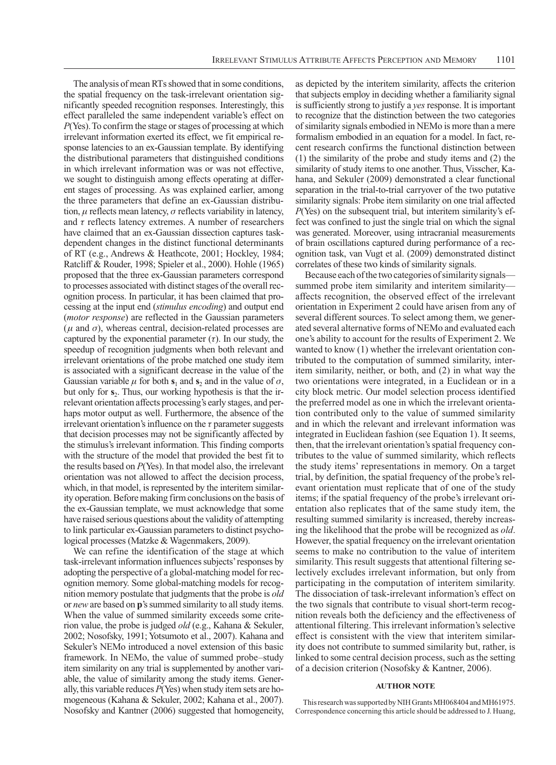The analysis of mean RTs showed that in some conditions, the spatial frequency on the task-irrelevant orientation significantly speeded recognition responses. Interestingly, this effect paralleled the same independent variable's effect on *P*(Yes). To confirm the stage or stages of processing at which irrelevant information exerted its effect, we fit empirical response latencies to an ex-Gaussian template. By identifying the distributional parameters that distinguished conditions in which irrelevant information was or was not effective, we sought to distinguish among effects operating at different stages of processing. As was explained earlier, among the three parameters that define an ex-Gaussian distribution, *µ* reflects mean latency, *σ* reflects variability in latency, and *τ* reflects latency extremes. A number of researchers have claimed that an ex-Gaussian dissection captures taskdependent changes in the distinct functional determinants of RT (e.g., Andrews & Heathcote, 2001; Hockley, 1984; Ratcliff & Rouder, 1998; Spieler et al., 2000). Hohle (1965) proposed that the three ex-Gaussian parameters correspond to processes associated with distinct stages of the overall recognition process. In particular, it has been claimed that processing at the input end (*stimulus encoding*) and output end (*motor response*) are reflected in the Gaussian parameters  $(μ$  and  $σ)$ , whereas central, decision-related processes are captured by the exponential parameter  $(\tau)$ . In our study, the speedup of recognition judgments when both relevant and irrelevant orientations of the probe matched one study item is associated with a significant decrease in the value of the Gaussian variable  $\mu$  for both  $s_1$  and  $s_2$  and in the value of  $\sigma$ , but only for **s**<sub>2</sub>. Thus, our working hypothesis is that the irrelevant orientation affects processing's early stages, and perhaps motor output as well. Furthermore, the absence of the irrelevant orientation's influence on the *τ* parameter suggests that decision processes may not be significantly affected by the stimulus's irrelevant information. This finding comports with the structure of the model that provided the best fit to the results based on *P*(Yes). In that model also, the irrelevant orientation was not allowed to affect the decision process, which, in that model, is represented by the interitem similarity operation. Before making firm conclusions on the basis of the ex-Gaussian template, we must acknowledge that some have raised serious questions about the validity of attempting to link particular ex-Gaussian parameters to distinct psychological processes (Matzke & Wagenmakers, 2009).

We can refine the identification of the stage at which task-irrelevant information influences subjects' responses by adopting the perspective of a global-matching model for recognition memory. Some global-matching models for recognition memory postulate that judgments that the probe is *old* or *new* are based on **p**'s summed similarity to all study items. When the value of summed similarity exceeds some criterion value, the probe is judged *old* (e.g., Kahana & Sekuler, 2002; Nosofsky, 1991; Yotsumoto et al., 2007). Kahana and Sekuler's NEMo introduced a novel extension of this basic framework. In NEMo, the value of summed probe–study item similarity on any trial is supplemented by another variable, the value of similarity among the study items. Generally, this variable reduces *P*(Yes) when study item sets are homogeneous (Kahana & Sekuler, 2002; Kahana et al., 2007). Nosofsky and Kantner (2006) suggested that homogeneity,

as depicted by the interitem similarity, affects the criterion that subjects employ in deciding whether a familiarity signal is sufficiently strong to justify a *yes* response. It is important to recognize that the distinction between the two categories of similarity signals embodied in NEMo is more than a mere formalism embodied in an equation for a model. In fact, recent research confirms the functional distinction between (1) the similarity of the probe and study items and (2) the similarity of study items to one another. Thus, Visscher, Kahana, and Sekuler (2009) demonstrated a clear functional separation in the trial-to-trial carryover of the two putative similarity signals: Probe item similarity on one trial affected *P*(Yes) on the subsequent trial, but interitem similarity's effect was confined to just the single trial on which the signal was generated. Moreover, using intracranial measurements of brain oscillations captured during performance of a recognition task, van Vugt et al. (2009) demonstrated distinct correlates of these two kinds of similarity signals.

Because each of the two categories of similarity signals summed probe item similarity and interitem similarity affects recognition, the observed effect of the irrelevant orientation in Experiment 2 could have arisen from any of several different sources. To select among them, we generated several alternative forms of NEMo and evaluated each one's ability to account for the results of Experiment 2. We wanted to know (1) whether the irrelevant orientation contributed to the computation of summed similarity, interitem similarity, neither, or both, and (2) in what way the two orientations were integrated, in a Euclidean or in a city block metric. Our model selection process identified the preferred model as one in which the irrelevant orientation contributed only to the value of summed similarity and in which the relevant and irrelevant information was integrated in Euclidean fashion (see Equation 1). It seems, then, that the irrelevant orientation's spatial frequency contributes to the value of summed similarity, which reflects the study items' representations in memory. On a target trial, by definition, the spatial frequency of the probe's relevant orientation must replicate that of one of the study items; if the spatial frequency of the probe's irrelevant orientation also replicates that of the same study item, the resulting summed similarity is increased, thereby increasing the likelihood that the probe will be recognized as *old*. However, the spatial frequency on the irrelevant orientation seems to make no contribution to the value of interitem similarity. This result suggests that attentional filtering selectively excludes irrelevant information, but only from participating in the computation of interitem similarity. The dissociation of task-irrelevant information's effect on the two signals that contribute to visual short-term recognition reveals both the deficiency and the effectiveness of attentional filtering. This irrelevant information's selective effect is consistent with the view that interitem similarity does not contribute to summed similarity but, rather, is linked to some central decision process, such as the setting of a decision criterion (Nosofsky & Kantner, 2006).

# **AUTHOR NOTE**

This research was supported by NIH Grants MH068404 and MH61975. Correspondence concerning this article should be addressed to J. Huang,